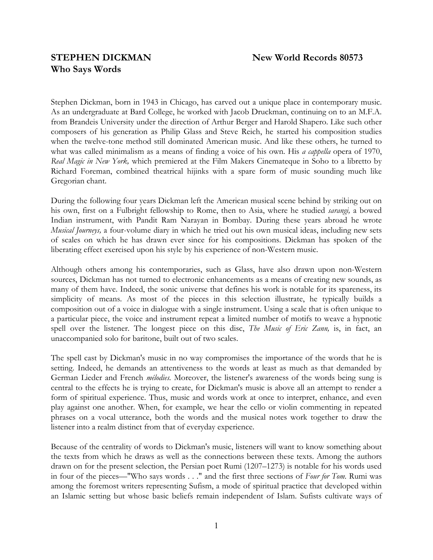Stephen Dickman, born in 1943 in Chicago, has carved out a unique place in contemporary music. As an undergraduate at Bard College, he worked with Jacob Druckman, continuing on to an M.F.A. from Brandeis University under the direction of Arthur Berger and Harold Shapero. Like such other composers of his generation as Philip Glass and Steve Reich, he started his composition studies when the twelve-tone method still dominated American music. And like these others, he turned to what was called minimalism as a means of finding a voice of his own. His *a cappella* opera of 1970, *Real Magic in New York,* which premiered at the Film Makers Cinemateque in Soho to a libretto by Richard Foreman, combined theatrical hijinks with a spare form of music sounding much like Gregorian chant.

During the following four years Dickman left the American musical scene behind by striking out on his own, first on a Fulbright fellowship to Rome, then to Asia, where he studied *sarangi,* a bowed Indian instrument, with Pandit Ram Narayan in Bombay. During these years abroad he wrote *Musical Journeys,* a four-volume diary in which he tried out his own musical ideas, including new sets of scales on which he has drawn ever since for his compositions. Dickman has spoken of the liberating effect exercised upon his style by his experience of non-Western music.

Although others among his contemporaries, such as Glass, have also drawn upon non-Western sources, Dickman has not turned to electronic enhancements as a means of creating new sounds, as many of them have. Indeed, the sonic universe that defines his work is notable for its spareness, its simplicity of means. As most of the pieces in this selection illustrate, he typically builds a composition out of a voice in dialogue with a single instrument. Using a scale that is often unique to a particular piece, the voice and instrument repeat a limited number of motifs to weave a hypnotic spell over the listener. The longest piece on this disc, *The Music of Eric Zann,* is, in fact, an unaccompanied solo for baritone, built out of two scales.

The spell cast by Dickman's music in no way compromises the importance of the words that he is setting. Indeed, he demands an attentiveness to the words at least as much as that demanded by German Lieder and French *mélodies.* Moreover, the listener's awareness of the words being sung is central to the effects he is trying to create, for Dickman's music is above all an attempt to render a form of spiritual experience. Thus, music and words work at once to interpret, enhance, and even play against one another. When, for example, we hear the cello or violin commenting in repeated phrases on a vocal utterance, both the words and the musical notes work together to draw the listener into a realm distinct from that of everyday experience.

Because of the centrality of words to Dickman's music, listeners will want to know something about the texts from which he draws as well as the connections between these texts. Among the authors drawn on for the present selection, the Persian poet Rumi (1207–1273) is notable for his words used in four of the pieces—"Who says words . . ." and the first three sections of *Four for Tom.* Rumi was among the foremost writers representing Sufism, a mode of spiritual practice that developed within an Islamic setting but whose basic beliefs remain independent of Islam. Sufists cultivate ways of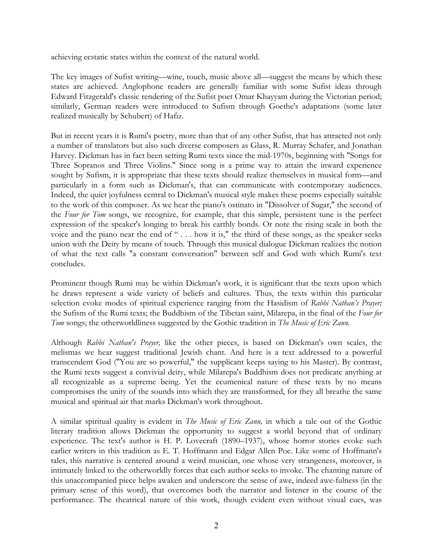achieving ecstatic states within the context of the natural world.

The key images of Sufist writing—wine, touch, music above all—suggest the means by which these states are achieved. Anglophone readers are generally familiar with some Sufist ideas through Edward Fitzgerald's classic rendering of the Sufist poet Omar Khayyam during the Victorian period; similarly, German readers were introduced to Sufism through Goethe's adaptations (some later realized musically by Schubert) of Hafiz.

But in recent years it is Rumi's poetry, more than that of any other Sufist, that has attracted not only a number of translators but also such diverse composers as Glass, R. Murray Schafer, and Jonathan Harvey. Dickman has in fact been setting Rumi texts since the mid-1970s, beginning with "Songs for Three Sopranos and Three Violins." Since song is a prime way to attain the inward experience sought by Sufism, it is appropriate that these texts should realize themselves in musical form—and particularly in a form such as Dickman's, that can communicate with contemporary audiences. Indeed, the quiet joyfulness central to Dickman's musical style makes these poems especially suitable to the work of this composer. As we hear the piano's ostinato in "Dissolver of Sugar," the second of the *Four for Tom* songs, we recognize, for example, that this simple, persistent tune is the perfect expression of the speaker's longing to break his earthly bonds. Or note the rising scale in both the voice and the piano near the end of " . . . how it is," the third of these songs, as the speaker seeks union with the Deity by means of touch. Through this musical dialogue Dickman realizes the notion of what the text calls "a constant conversation" between self and God with which Rumi's text concludes.

Prominent though Rumi may be within Dickman's work, it is significant that the texts upon which he draws represent a wide variety of beliefs and cultures. Thus, the texts within this particular selection evoke modes of spiritual experience ranging from the Hasidism of *Rabbi Nathan's Prayer;* the Sufism of the Rumi texts; the Buddhism of the Tibetan saint, Milarepa, in the final of the *Four for Tom* songs; the otherworldliness suggested by the Gothic tradition in *The Music of Eric Zann.* 

Although *Rabbi Nathan's Prayer,* like the other pieces, is based on Dickman's own scales, the melismas we hear suggest traditional Jewish chant. And here is a text addressed to a powerful transcendent God ("You are so powerful," the supplicant keeps saying to his Master). By contrast, the Rumi texts suggest a convivial deity, while Milarepa's Buddhism does not predicate anything at all recognizable as a supreme being. Yet the ecumenical nature of these texts by no means compromises the unity of the sounds into which they are transformed, for they all breathe the same musical and spiritual air that marks Dickman's work throughout.

A similar spiritual quality is evident in *The Music of Eric Zann,* in which a tale out of the Gothic literary tradition allows Dickman the opportunity to suggest a world beyond that of ordinary experience. The text's author is H. P. Lovecraft (1890–1937), whose horror stories evoke such earlier writers in this tradition as E. T. Hoffmann and Edgar Allen Poe. Like some of Hoffmann's tales, this narrative is centered around a weird musician, one whose very strangeness, moreover, is intimately linked to the otherworldly forces that each author seeks to invoke. The chanting nature of this unaccompanied piece helps awaken and underscore the sense of awe, indeed awe-fulness (in the primary sense of this word), that overcomes both the narrator and listener in the course of the performance. The theatrical nature of this work, though evident even without visual cues, was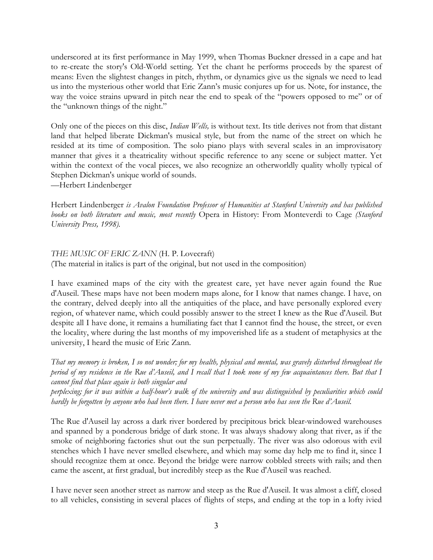underscored at its first performance in May 1999, when Thomas Buckner dressed in a cape and hat to re-create the story's Old-World setting. Yet the chant he performs proceeds by the sparest of means: Even the slightest changes in pitch, rhythm, or dynamics give us the signals we need to lead us into the mysterious other world that Eric Zann's music conjures up for us. Note, for instance, the way the voice strains upward in pitch near the end to speak of the "powers opposed to me" or of the "unknown things of the night."

Only one of the pieces on this disc, *Indian Wells,* is without text. Its title derives not from that distant land that helped liberate Dickman's musical style, but from the name of the street on which he resided at its time of composition. The solo piano plays with several scales in an improvisatory manner that gives it a theatricality without specific reference to any scene or subject matter. Yet within the context of the vocal pieces, we also recognize an otherworldly quality wholly typical of Stephen Dickman's unique world of sounds.

—Herbert Lindenberger

Herbert Lindenberger *is Avalon Foundation Professor of Humanities at Stanford University and has published books on both literature and music, most recently* Opera in History: From Monteverdi to Cage *(Stanford University Press, 1998).*

# *THE MUSIC OF ERIC ZANN* (H. P. Lovecraft)

(The material in italics is part of the original, but not used in the composition)

I have examined maps of the city with the greatest care, yet have never again found the Rue d'Auseil. These maps have not been modern maps alone, for I know that names change. I have, on the contrary, delved deeply into all the antiquities of the place, and have personally explored every region, of whatever name, which could possibly answer to the street I knew as the Rue d'Auseil. But despite all I have done, it remains a humiliating fact that I cannot find the house, the street, or even the locality, where during the last months of my impoverished life as a student of metaphysics at the university, I heard the music of Eric Zann.

*That my memory is broken, I so not wonder; for my health, physical and mental, was gravely disturbed throughout the period of my residence in the Rue d'Auseil, and I recall that I took none of my few acquaintances there. But that I cannot find that place again is both singular and* 

*perplexing; for it was within a half-hour's walk of the university and was distinguished by peculiarities which could hardly be forgotten by anyone who had been there. I have never met a person who has seen the Rue d'Auseil.* 

The Rue d'Auseil lay across a dark river bordered by precipitous brick blear-windowed warehouses and spanned by a ponderous bridge of dark stone. It was always shadowy along that river, as if the smoke of neighboring factories shut out the sun perpetually. The river was also odorous with evil stenches which I have never smelled elsewhere, and which may some day help me to find it, since I should recognize them at once. Beyond the bridge were narrow cobbled streets with rails; and then came the ascent, at first gradual, but incredibly steep as the Rue d'Auseil was reached.

I have never seen another street as narrow and steep as the Rue d'Auseil. It was almost a cliff, closed to all vehicles, consisting in several places of flights of steps, and ending at the top in a lofty ivied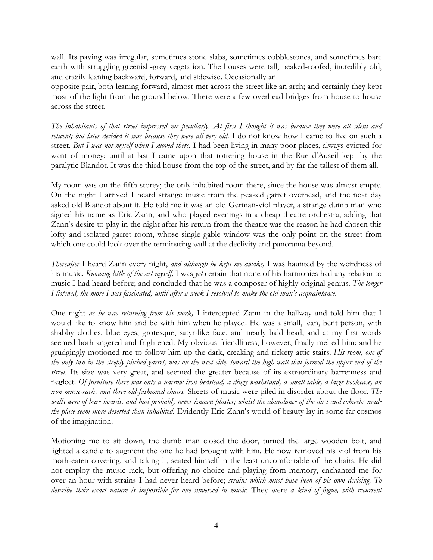wall. Its paving was irregular, sometimes stone slabs, sometimes cobblestones, and sometimes bare earth with struggling greenish-grey vegetation. The houses were tall, peaked-roofed, incredibly old, and crazily leaning backward, forward, and sidewise. Occasionally an

opposite pair, both leaning forward, almost met across the street like an arch; and certainly they kept most of the light from the ground below. There were a few overhead bridges from house to house across the street.

*The inhabitants of that street impressed me peculiarly. At first I thought it was because they were all silent and reticent; but later decided it was because they were all very old.* I do not know how I came to live on such a street. *But I was not myself when I moved there.* I had been living in many poor places, always evicted for want of money; until at last I came upon that tottering house in the Rue d'Auseil kept by the paralytic Blandot. It was the third house from the top of the street, and by far the tallest of them all.

My room was on the fifth storey; the only inhabited room there, since the house was almost empty. On the night I arrived I heard strange music from the peaked garret overhead, and the next day asked old Blandot about it. He told me it was an old German-viol player, a strange dumb man who signed his name as Eric Zann, and who played evenings in a cheap theatre orchestra; adding that Zann's desire to play in the night after his return from the theatre was the reason he had chosen this lofty and isolated garret room, whose single gable window was the only point on the street from which one could look over the terminating wall at the declivity and panorama beyond.

*Thereafter* I heard Zann every night, *and although he kept me awake,* I was haunted by the weirdness of his music. *Knowing little of the art myself,* I was *yet* certain that none of his harmonies had any relation to music I had heard before; and concluded that he was a composer of highly original genius. *The longer I listened, the more I was fascinated, until after a week I resolved to make the old man's acquaintance.* 

One night *as he was returning from his work,* I intercepted Zann in the hallway and told him that I would like to know him and be with him when he played. He was a small, lean, bent person, with shabby clothes, blue eyes, grotesque, satyr-like face, and nearly bald head; and at my first words seemed both angered and frightened. My obvious friendliness, however, finally melted him; and he grudgingly motioned me to follow him up the dark, creaking and rickety attic stairs. *His room, one of the only two in the steeply pitched garret, was on the west side, toward the high wall that formed the upper end of the street.* Its size was very great, and seemed the greater because of its extraordinary barrenness and neglect. *Of furniture there was only a narrow iron bedstead, a dingy washstand, a small table, a large bookcase, an iron music-rack, and three old-fashioned chairs.* Sheets of music were piled in disorder about the floor. *The walls were of bare boards, and had probably never known plaster; whilst the abundance of the dust and cobwebs made the place seem more deserted than inhabited.* Evidently Eric Zann's world of beauty lay in some far cosmos of the imagination.

Motioning me to sit down, the dumb man closed the door, turned the large wooden bolt, and lighted a candle to augment the one he had brought with him. He now removed his viol from his moth-eaten covering, and taking it, seated himself in the least uncomfortable of the chairs. He did not employ the music rack, but offering no choice and playing from memory, enchanted me for over an hour with strains I had never heard before; *strains which must have been of his own devising. To describe their exact nature is impossible for one unversed in music.* They were *a kind of fugue, with recurrent*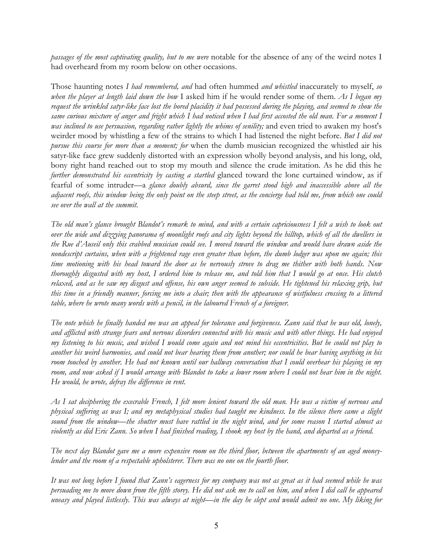*passages of the most captivating quality, but to me were* notable for the absence of any of the weird notes I had overheard from my room below on other occasions.

Those haunting notes *I had remembered, and* had often hummed *and whistled* inaccurately to myself, *so when the player at length laid down the bow* I asked him if he would render some of them. *As I began my request the wrinkled satyr-like face lost the bored placidity it had possessed during the playing, and seemed to show the same curious mixture of anger and fright which I had noticed when I had first accosted the old man. For a moment I was inclined to use persuasion, regarding rather lightly the whims of senility;* and even tried to awaken my host's weirder mood by whistling a few of the strains to which I had listened the night before. *But I did not pursue this course for more than a moment; for* when the dumb musician recognized the whistled air his satyr-like face grew suddenly distorted with an expression wholly beyond analysis, and his long, old, bony right hand reached out to stop my mouth and silence the crude imitation. As he did this he *further demonstrated his eccentricity by casting a startled* glanced toward the lone curtained window, as if fearful of some intruder—a *glance doubly absurd, since the garret stood high and inaccessible above all the adjacent roofs, this window being the only point on the steep street, as the concierge had told me, from which one could see over the wall at the summit.* 

*The old man's glance brought Blandot's remark to mind, and with a certain capriciousness I felt a wish to look out over the wide and dizzying panorama of moonlight roofs and city lights beyond the hilltop, which of all the dwellers in the Rue d'Auseil only this crabbed musician could see. I moved toward the window and would have drawn aside the nondescript curtains, when with a frightened rage even greater than before, the dumb lodger was upon me again; this time motioning with his head toward the door as he nervously strove to drag me thither with both hands. Now thoroughly disgusted with my host, I ordered him to release me, and told him that I would go at once. His clutch*  relaxed, and as he saw my disgust and offense, his own anger seemed to subside. He tightened his relaxing grip, but *this time in a friendly manner, forcing me into a chair; then with the appearance of wistfulness crossing to a littered table, where he wrote many words with a pencil, in the laboured French of a foreigner.* 

*The note which he finally handed me was an appeal for tolerance and forgiveness. Zann said that he was old, lonely, and afflicted with strange fears and nervous disorders connected with his music and with other things. He had enjoyed my listening to his music, and wished I would come again and not mind his eccentricities. But he could not play to another his weird harmonies, and could not bear hearing them from another; nor could he bear having anything in his room touched by another. He had not known until our hallway conversation that I could overhear his playing in my room, and now asked if I would arrange with Blandot to take a lower room where I could not hear him in the night. He would, he wrote, defray the difference in rent.* 

*As I sat deciphering the execrable French, I felt more lenient toward the old man. He was a victim of nervous and physical suffering as was I; and my metaphysical studies had taught me kindness. In the silence there came a slight sound from the window—the shutter must have rattled in the night wind, and for some reason I started almost as violently as did Eric Zann. So when I had finished reading, I shook my host by the hand, and departed as a friend.* 

*The next day Blandot gave me a more expensive room on the third floor, between the apartments of an aged moneylender and the room of a respectable upholsterer. There was no one on the fourth floor.* 

*It was not long before I found that Zann's eagerness for my company was not as great as it had seemed while he was persuading me to move down from the fifth storey. He did not ask me to call on him, and when I did call he appeared uneasy and played listlessly. This was always at night—in the day he slept and would admit no one. My liking for*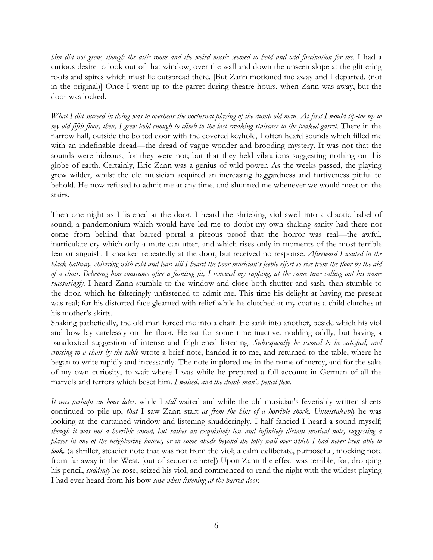*him did not grow, though the attic room and the weird music seemed to hold and odd fascination for me.* I had a curious desire to look out of that window, over the wall and down the unseen slope at the glittering roofs and spires which must lie outspread there. [But Zann motioned me away and I departed. (not in the original)] Once I went up to the garret during theatre hours, when Zann was away, but the door was locked.

*What I did succeed in doing was to overhear the nocturnal playing of the dumb old man. At first I would tip-toe up to my old fifth floor, then, I grew bold enough to climb to the last creaking staircase to the peaked garret.* There in the narrow hall, outside the bolted door with the covered keyhole, I often heard sounds which filled me with an indefinable dread—the dread of vague wonder and brooding mystery. It was not that the sounds were hideous, for they were not; but that they held vibrations suggesting nothing on this globe of earth. Certainly, Eric Zann was a genius of wild power. As the weeks passed, the playing grew wilder, whilst the old musician acquired an increasing haggardness and furtiveness pitiful to behold. He now refused to admit me at any time, and shunned me whenever we would meet on the stairs.

Then one night as I listened at the door, I heard the shrieking viol swell into a chaotic babel of sound; a pandemonium which would have led me to doubt my own shaking sanity had there not come from behind that barred portal a piteous proof that the horror was real—the awful, inarticulate cry which only a mute can utter, and which rises only in moments of the most terrible fear or anguish. I knocked repeatedly at the door, but received no response. *Afterward I waited in the black hallway, shivering with cold and fear, till I heard the poor musician's feeble effort to rise from the floor by the aid of a chair. Believing him conscious after a fainting fit, I renewed my rapping, at the same time calling out his name reassuringly.* I heard Zann stumble to the window and close both shutter and sash, then stumble to the door, which he falteringly unfastened to admit me. This time his delight at having me present was real; for his distorted face gleamed with relief while he clutched at my coat as a child clutches at his mother's skirts.

Shaking pathetically, the old man forced me into a chair. He sank into another, beside which his viol and bow lay carelessly on the floor. He sat for some time inactive, nodding oddly, but having a paradoxical suggestion of intense and frightened listening. *Subsequently he seemed to be satisfied, and crossing to a chair by the table* wrote a brief note, handed it to me, and returned to the table, where he began to write rapidly and incessantly. The note implored me in the name of mercy, and for the sake of my own curiosity, to wait where I was while he prepared a full account in German of all the marvels and terrors which beset him. *I waited, and the dumb man's pencil flew.* 

*It was perhaps an hour later,* while I *still* waited and while the old musician's feverishly written sheets continued to pile up, *that* I saw Zann start *as from the hint of a horrible shock. Unmistakably* he was looking at the curtained window and listening shudderingly. I half fancied I heard a sound myself; *though it was not a horrible sound, but rather an exquisitely low and infinitely distant musical note, suggesting a player in one of the neighboring houses, or in some abode beyond the lofty wall over which I had never been able to look.* (a shriller, steadier note that was not from the viol; a calm deliberate, purposeful, mocking note from far away in the West. [out of sequence here]) Upon Zann the effect was terrible, for, dropping his pencil, *suddenly* he rose, seized his viol, and commenced to rend the night with the wildest playing I had ever heard from his bow *save when listening at the barred door.*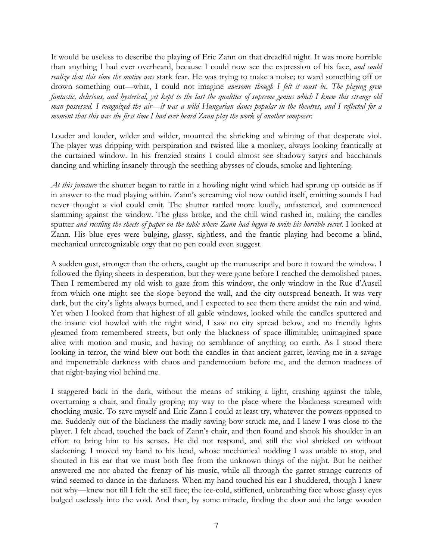It would be useless to describe the playing of Eric Zann on that dreadful night. It was more horrible than anything I had ever overheard, because I could now see the expression of his face, *and could realize that this time the motive was* stark fear. He was trying to make a noise; to ward something off or drown something out—what, I could not imagine *awesome though I felt it must be. The playing grew fantastic, delirious, and hysterical, yet kept to the last the qualities of supreme genius which I knew this strange old man possessed. I recognized the air—it was a wild Hungarian dance popular in the theatres, and I reflected for a moment that this was the first time I had ever heard Zann play the work of another composer.* 

Louder and louder, wilder and wilder, mounted the shrieking and whining of that desperate viol. The player was dripping with perspiration and twisted like a monkey, always looking frantically at the curtained window. In his frenzied strains I could almost see shadowy satyrs and bacchanals dancing and whirling insanely through the seething abysses of clouds, smoke and lightening.

*At this juncture* the shutter began to rattle in a howling night wind which had sprung up outside as if in answer to the mad playing within. Zann's screaming viol now outdid itself, emitting sounds I had never thought a viol could emit. The shutter rattled more loudly, unfastened, and commenced slamming against the window. The glass broke, and the chill wind rushed in, making the candles sputter *and rustling the sheets of paper on the table where Zann had begun to write his horrible secret.* I looked at Zann. His blue eyes were bulging, glassy, sightless, and the frantic playing had become a blind, mechanical unrecognizable orgy that no pen could even suggest.

A sudden gust, stronger than the others, caught up the manuscript and bore it toward the window. I followed the flying sheets in desperation, but they were gone before I reached the demolished panes. Then I remembered my old wish to gaze from this window, the only window in the Rue d'Auseil from which one might see the slope beyond the wall, and the city outspread beneath. It was very dark, but the city's lights always burned, and I expected to see them there amidst the rain and wind. Yet when I looked from that highest of all gable windows, looked while the candles sputtered and the insane viol howled with the night wind, I saw no city spread below, and no friendly lights gleamed from remembered streets, but only the blackness of space illimitable; unimagined space alive with motion and music, and having no semblance of anything on earth. As I stood there looking in terror, the wind blew out both the candles in that ancient garret, leaving me in a savage and impenetrable darkness with chaos and pandemonium before me, and the demon madness of that night-baying viol behind me.

I staggered back in the dark, without the means of striking a light, crashing against the table, overturning a chair, and finally groping my way to the place where the blackness screamed with chocking music. To save myself and Eric Zann I could at least try, whatever the powers opposed to me. Suddenly out of the blackness the madly sawing bow struck me, and I knew I was close to the player. I felt ahead, touched the back of Zann's chair, and then found and shook his shoulder in an effort to bring him to his senses. He did not respond, and still the viol shrieked on without slackening. I moved my hand to his head, whose mechanical nodding I was unable to stop, and shouted in his ear that we must both flee from the unknown things of the night. But he neither answered me nor abated the frenzy of his music, while all through the garret strange currents of wind seemed to dance in the darkness. When my hand touched his ear I shuddered, though I knew not why—knew not till I felt the still face; the ice-cold, stiffened, unbreathing face whose glassy eyes bulged uselessly into the void. And then, by some miracle, finding the door and the large wooden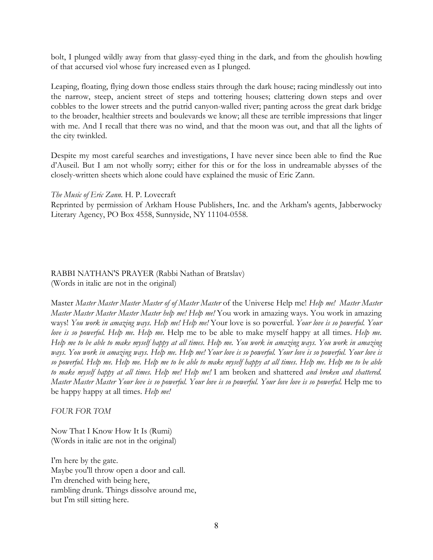bolt, I plunged wildly away from that glassy-eyed thing in the dark, and from the ghoulish howling of that accursed viol whose fury increased even as I plunged.

Leaping, floating, flying down those endless stairs through the dark house; racing mindlessly out into the narrow, steep, ancient street of steps and tottering houses; clattering down steps and over cobbles to the lower streets and the putrid canyon-walled river; panting across the great dark bridge to the broader, healthier streets and boulevards we know; all these are terrible impressions that linger with me. And I recall that there was no wind, and that the moon was out, and that all the lights of the city twinkled.

Despite my most careful searches and investigations, I have never since been able to find the Rue d'Auseil. But I am not wholly sorry; either for this or for the loss in undreamable abysses of the closely-written sheets which alone could have explained the music of Eric Zann.

*The Music of Eric Zann.* H. P. Lovecraft

Reprinted by permission of Arkham House Publishers, Inc. and the Arkham's agents, Jabberwocky Literary Agency, PO Box 4558, Sunnyside, NY 11104-0558.

## RABBI NATHAN'S PRAYER (Rabbi Nathan of Bratslav) (Words in italic are not in the original)

Master *Master Master Master Master of of Master Master* of the Universe Help me! *Help me! Master Master Master Master Master Master Master help me! Help me!* You work in amazing ways. You work in amazing ways! *You work in amazing ways. Help me! Help me!* Your love is so powerful. *Your love is so powerful. Your love is so powerful. Help me. Help me.* Help me to be able to make myself happy at all times. *Help me. Help me to be able to make myself happy at all times. Help me. You work in amazing ways. You work in amazing ways. You work in amazing ways. Help me. Help me! Your love is so powerful. Your love is so powerful. Your love is so powerful. Help me. Help me. Help me to be able to make myself happy at all times. Help me. Help me to be able to make myself happy at all times. Help me! Help me!* I am broken and shattered *and broken and shattered. Master Master Master Your love is so powerful. Your love is so powerful. Your love love is so powerful.* Help me to be happy happy at all times. *Help me!*

## *FOUR FOR TOM*

Now That I Know How It Is (Rumi) (Words in italic are not in the original)

I'm here by the gate. Maybe you'll throw open a door and call. I'm drenched with being here, rambling drunk. Things dissolve around me, but I'm still sitting here.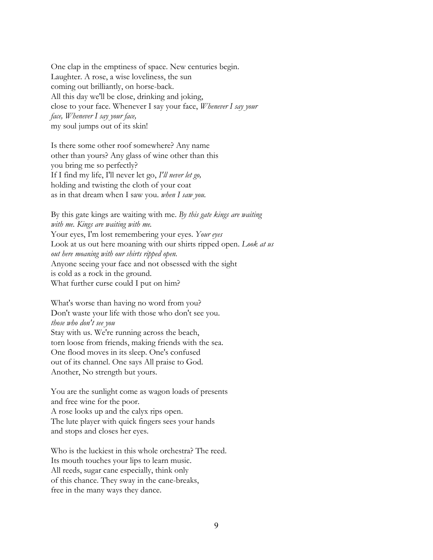One clap in the emptiness of space. New centuries begin. Laughter. A rose, a wise loveliness, the sun coming out brilliantly, on horse-back. All this day we'll be close, drinking and joking, close to your face. Whenever I say your face, *Whenever I say your face, Whenever I say your face,* my soul jumps out of its skin!

Is there some other roof somewhere? Any name other than yours? Any glass of wine other than this you bring me so perfectly? If I find my life, I'll never let go, *I'll never let go,* holding and twisting the cloth of your coat as in that dream when I saw you. *when I saw you.*

By this gate kings are waiting with me. *By this gate kings are waiting with me. Kings are waiting with me.* Your eyes, I'm lost remembering your eyes. *Your eyes* Look at us out here moaning with our shirts ripped open. *Look at us out here moaning with our shirts ripped open.* Anyone seeing your face and not obsessed with the sight is cold as a rock in the ground. What further curse could I put on him?

What's worse than having no word from you? Don't waste your life with those who don't see you. *those who don't see you* Stay with us. We're running across the beach, torn loose from friends, making friends with the sea. One flood moves in its sleep. One's confused out of its channel. One says All praise to God. Another, No strength but yours.

You are the sunlight come as wagon loads of presents and free wine for the poor. A rose looks up and the calyx rips open. The lute player with quick fingers sees your hands and stops and closes her eyes.

Who is the luckiest in this whole orchestra? The reed. Its mouth touches your lips to learn music. All reeds, sugar cane especially, think only of this chance. They sway in the cane-breaks, free in the many ways they dance.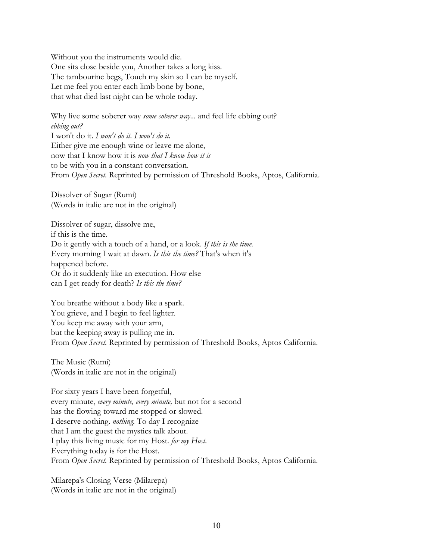Without you the instruments would die. One sits close beside you, Another takes a long kiss. The tambourine begs, Touch my skin so I can be myself. Let me feel you enter each limb bone by bone, that what died last night can be whole today.

Why live some soberer way *some soberer way...* and feel life ebbing out? *ebbing out?* I won't do it. *I won't do it. I won't do it.* Either give me enough wine or leave me alone, now that I know how it is *now that I know how it is* to be with you in a constant conversation. From *Open Secret.* Reprinted by permission of Threshold Books, Aptos, California.

Dissolver of Sugar (Rumi) (Words in italic are not in the original)

Dissolver of sugar, dissolve me, if this is the time. Do it gently with a touch of a hand, or a look. *If this is the time.* Every morning I wait at dawn. *Is this the time?* That's when it's happened before. Or do it suddenly like an execution. How else can I get ready for death? *Is this the time?*

You breathe without a body like a spark. You grieve, and I begin to feel lighter. You keep me away with your arm, but the keeping away is pulling me in. From *Open Secret.* Reprinted by permission of Threshold Books, Aptos California.

The Music (Rumi) (Words in italic are not in the original)

For sixty years I have been forgetful, every minute, *every minute, every minute,* but not for a second has the flowing toward me stopped or slowed. I deserve nothing. *nothing.* To day I recognize that I am the guest the mystics talk about. I play this living music for my Host. *for my Host.* Everything today is for the Host. From *Open Secret.* Reprinted by permission of Threshold Books, Aptos California.

Milarepa's Closing Verse (Milarepa) (Words in italic are not in the original)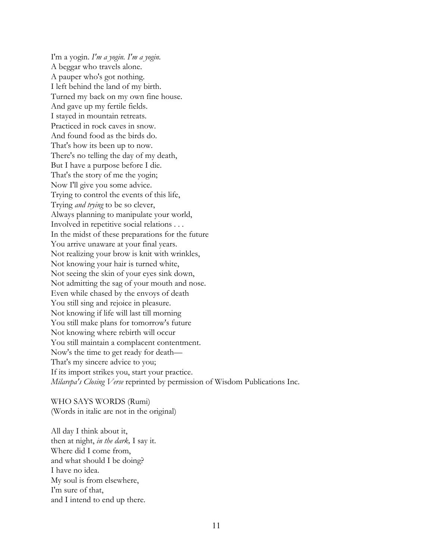I'm a yogin. *I'm a yogin. I'm a yogin.* A beggar who travels alone. A pauper who's got nothing. I left behind the land of my birth. Turned my back on my own fine house. And gave up my fertile fields. I stayed in mountain retreats. Practiced in rock caves in snow. And found food as the birds do. That's how its been up to now. There's no telling the day of my death, But I have a purpose before I die. That's the story of me the yogin; Now I'll give you some advice. Trying to control the events of this life, Trying *and trying* to be so clever, Always planning to manipulate your world, Involved in repetitive social relations . . . In the midst of these preparations for the future You arrive unaware at your final years. Not realizing your brow is knit with wrinkles, Not knowing your hair is turned white, Not seeing the skin of your eyes sink down, Not admitting the sag of your mouth and nose. Even while chased by the envoys of death You still sing and rejoice in pleasure. Not knowing if life will last till morning You still make plans for tomorrow's future Not knowing where rebirth will occur You still maintain a complacent contentment. Now's the time to get ready for death— That's my sincere advice to you; If its import strikes you, start your practice. *Milarepa's Closing Verse* reprinted by permission of Wisdom Publications Inc.

WHO SAYS WORDS (Rumi) (Words in italic are not in the original)

All day I think about it, then at night, *in the dark,* I say it. Where did I come from, and what should I be doing? I have no idea. My soul is from elsewhere, I'm sure of that, and I intend to end up there.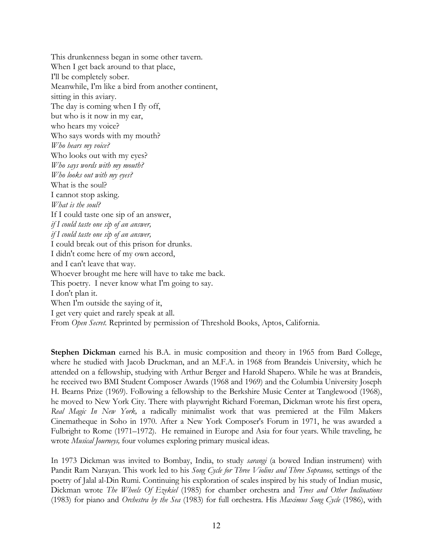This drunkenness began in some other tavern. When I get back around to that place, I'll be completely sober. Meanwhile, I'm like a bird from another continent, sitting in this aviary. The day is coming when I fly off, but who is it now in my ear, who hears my voice? Who says words with my mouth? *Who hears my voice?*  Who looks out with my eyes? *Who says words with my mouth? Who looks out with my eyes?*  What is the soul? I cannot stop asking. *What is the soul?*  If I could taste one sip of an answer, *if I could taste one sip of an answer, if I could taste one sip of an answer,*  I could break out of this prison for drunks. I didn't come here of my own accord, and I can't leave that way. Whoever brought me here will have to take me back. This poetry. I never know what I'm going to say. I don't plan it. When I'm outside the saying of it, I get very quiet and rarely speak at all. From *Open Secret.* Reprinted by permission of Threshold Books, Aptos, California.

**Stephen Dickman** earned his B.A. in music composition and theory in 1965 from Bard College, where he studied with Jacob Druckman, and an M.F.A. in 1968 from Brandeis University, which he attended on a fellowship, studying with Arthur Berger and Harold Shapero. While he was at Brandeis, he received two BMI Student Composer Awards (1968 and 1969) and the Columbia University Joseph H. Bearns Prize (1969). Following a fellowship to the Berkshire Music Center at Tanglewood (1968), he moved to New York City. There with playwright Richard Foreman, Dickman wrote his first opera, *Real Magic In New York,* a radically minimalist work that was premiered at the Film Makers Cinematheque in Soho in 1970. After a New York Composer's Forum in 1971, he was awarded a Fulbright to Rome (1971–1972). He remained in Europe and Asia for four years. While traveling, he wrote *Musical Journeys,* four volumes exploring primary musical ideas.

In 1973 Dickman was invited to Bombay, India, to study *sarangi* (a bowed Indian instrument) with Pandit Ram Narayan. This work led to his *Song Cycle for Three Violins and Three Sopranos,* settings of the poetry of Jalal al-Din Rumi. Continuing his exploration of scales inspired by his study of Indian music, Dickman wrote *The Wheels Of Ezekiel* (1985) for chamber orchestra and *Trees and Other Inclinations* (1983) for piano and *Orchestra by the Sea* (1983) for full orchestra. His *Maximus Song Cycle* (1986), with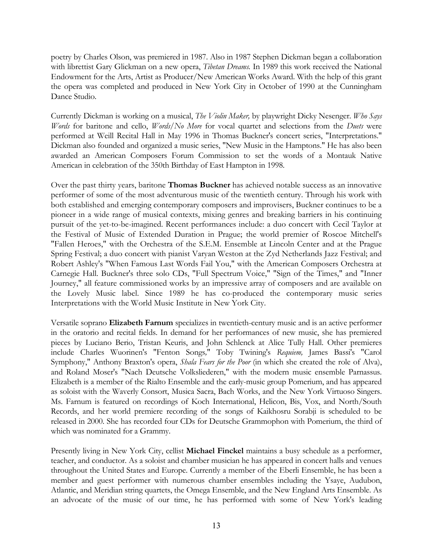poetry by Charles Olson, was premiered in 1987. Also in 1987 Stephen Dickman began a collaboration with librettist Gary Glickman on a new opera, *Tibetan Dreams.* In 1989 this work received the National Endowment for the Arts, Artist as Producer/New American Works Award. With the help of this grant the opera was completed and produced in New York City in October of 1990 at the Cunningham Dance Studio.

Currently Dickman is working on a musical, *The Violin Maker,* by playwright Dicky Nesenger. *Who Says Words* for baritone and cello, *Words/No More* for vocal quartet and selections from the *Duets* were performed at Weill Recital Hall in May 1996 in Thomas Buckner's concert series, "Interpretations." Dickman also founded and organized a music series, "New Music in the Hamptons." He has also been awarded an American Composers Forum Commission to set the words of a Montauk Native American in celebration of the 350th Birthday of East Hampton in 1998.

Over the past thirty years, baritone **Thomas Buckner** has achieved notable success as an innovative performer of some of the most adventurous music of the twentieth century. Through his work with both established and emerging contemporary composers and improvisers, Buckner continues to be a pioneer in a wide range of musical contexts, mixing genres and breaking barriers in his continuing pursuit of the yet-to-be-imagined. Recent performances include: a duo concert with Cecil Taylor at the Festival of Music of Extended Duration in Prague; the world premier of Roscoe Mitchell's "Fallen Heroes," with the Orchestra of the S.E.M. Ensemble at Lincoln Center and at the Prague Spring Festival; a duo concert with pianist Varyan Weston at the Zyd Netherlands Jazz Festival; and Robert Ashley's "When Famous Last Words Fail You," with the American Composers Orchestra at Carnegie Hall. Buckner's three solo CDs, "Full Spectrum Voice," "Sign of the Times," and "Inner Journey," all feature commissioned works by an impressive array of composers and are available on the Lovely Music label. Since 1989 he has co-produced the contemporary music series Interpretations with the World Music Institute in New York City.

Versatile soprano **Elizabeth Farnum** specializes in twentieth-century music and is an active performer in the oratorio and recital fields. In demand for her performances of new music, she has premiered pieces by Luciano Berio, Tristan Keuris, and John Schlenck at Alice Tully Hall. Other premieres include Charles Wuorinen's "Fenton Songs*,*" Toby Twining's *Requiem,* James Bassi's "Carol Symphony," Anthony Braxton's opera, *Shala Fears for the Poor* (in which she created the role of Alva), and Roland Moser's "Nach Deutsche Volksliederen," with the modern music ensemble Parnassus. Elizabeth is a member of the Rialto Ensemble and the early-music group Pomerium, and has appeared as soloist with the Waverly Consort, Musica Sacra, Bach Works, and the New York Virtuoso Singers. Ms. Farnum is featured on recordings of Koch International, Helicon, Bis, Vox, and North/South Records, and her world premiere recording of the songs of Kaikhosru Sorabji is scheduled to be released in 2000. She has recorded four CDs for Deutsche Grammophon with Pomerium, the third of which was nominated for a Grammy.

Presently living in New York City, cellist **Michael Finckel** maintains a busy schedule as a performer, teacher, and conductor. As a soloist and chamber musician he has appeared in concert halls and venues throughout the United States and Europe. Currently a member of the Eberli Ensemble, he has been a member and guest performer with numerous chamber ensembles including the Ysaye, Audubon, Atlantic, and Meridian string quartets, the Omega Ensemble, and the New England Arts Ensemble. As an advocate of the music of our time, he has performed with some of New York's leading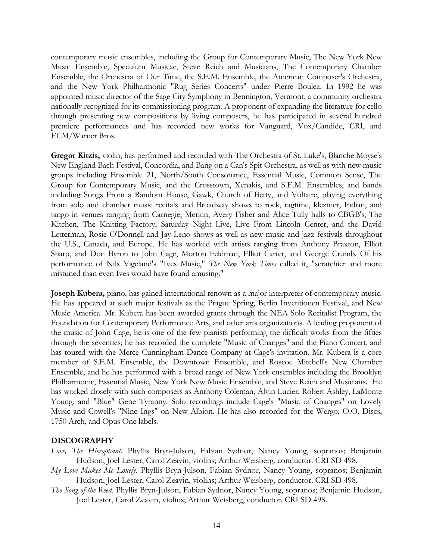contemporary music ensembles, including the Group for Contemporary Music, The New York New Music Ensemble, Speculum Musicae, Steve Reich and Musicians, The Contemporary Chamber Ensemble, the Orchestra of Our Time, the S.E.M. Ensemble, the American Composer's Orchestra, and the New York Philharmonic "Rug Series Concerts" under Pierre Boulez. In 1992 he was appointed music director of the Sage City Symphony in Bennington, Vermont, a community orchestra nationally recognized for its commissioning program. A proponent of expanding the literature for cello through presenting new compositions by living composers, he has participated in several hundred premiere performances and has recorded new works for Vanguard, Vox/Candide, CRI, and ECM/Warner Bros.

**Gregor Kitzis,** violin, has performed and recorded with The Orchestra of St. Luke's, Blanche Moyse's New England Bach Festival, Concordia, and Bang on a Can's Spit Orchestra, as well as with new music groups including Ensemble 21, North/South Consonance, Essential Music, Common Sense, The Group for Contemporary Music, and the Crosstown, Xenakis, and S.E.M. Ensembles, and bands including Songs From a Random House, Gawk, Church of Betty, and Voltaire, playing everything from solo and chamber music recitals and Broadway shows to rock, ragtime, klezmer, Indian, and tango in venues ranging from Carnegie, Merkin, Avery Fisher and Alice Tully halls to CBGB's, The Kitchen, The Knitting Factory, Saturday Night Live, Live From Lincoln Center, and the David Letterman, Rosie O'Donnell and Jay Leno shows as well as new-music and jazz festivals throughout the U.S., Canada, and Europe. He has worked with artists ranging from Anthony Braxton, Elliot Sharp, and Don Byron to John Cage, Morton Feldman, Elliot Carter, and George Crumb. Of his performance of Nils Vigeland's "Ives Music," *The New York Times* called it, "scratchier and more mistuned than even Ives would have found amusing."

**Joseph Kubera,** piano, has gained international renown as a major interpreter of contemporary music. He has appeared at such major festivals as the Prague Spring, Berlin Inventionen Festival, and New Music America. Mr. Kubera has been awarded grants through the NEA Solo Recitalist Program, the Foundation for Contemporary Performance Arts, and other arts organizations. A leading proponent of the music of John Cage, he is one of the few pianists performing the difficult works from the fifties through the seventies; he has recorded the complete "Music of Changes" and the Piano Concert, and has toured with the Merce Cunningham Dance Company at Cage's invitation. Mr. Kubera is a core member of S.E.M. Ensemble, the Downtown Ensemble, and Roscoe Mitchell's New Chamber Ensemble, and he has performed with a broad range of New York ensembles including the Brooklyn Philharmonic, Essential Music, New York New Music Ensemble, and Steve Reich and Musicians. He has worked closely with such composers as Anthony Coleman, Alvin Lucier, Robert Ashley, LaMonte Young, and "Blue" Gene Tyranny. Solo recordings include Cage's "Music of Changes" on Lovely Music and Cowell's "Nine Ings" on New Albion. He has also recorded for the Wergo, O.O. Discs, 1750 Arch, and Opus One labels.

## **DISCOGRAPHY**

- *Love, The Hierophant*. Phyllis Bryn-Julson, Fabian Sydnor, Nancy Young, sopranos; Benjamin Hudson, Joel Lester, Carol Zeavin, violins; Arthur Weisberg, conductor. CRI SD 498.
- *My Love Makes Me Lonely.* Phyllis Bryn-Julson, Fabian Sydnor, Nancy Young, sopranos; Benjamin Hudson, Joel Lester, Carol Zeavin, violins; Arthur Weisberg, conductor. CRI SD 498.
- *The Song of the Reed.* Phyllis Bryn-Julson, Fabian Sydnor, Nancy Young, sopranos; Benjamin Hudson, Joel Lester, Carol Zeavin, violins; Arthur Weisberg, conductor. CRI SD 498.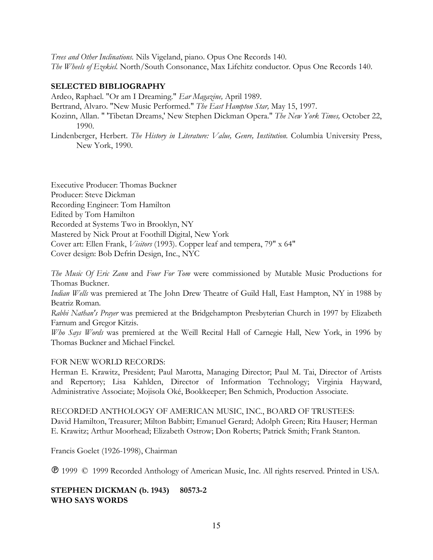*Trees and Other Inclinations.* Nils Vigeland, piano. Opus One Records 140. *The Wheels of Ezekiel.* North/South Consonance, Max Lifchitz conductor. Opus One Records 140.

#### **SELECTED BIBLIOGRAPHY**

Ardeo, Raphael. "Or am I Dreaming." *Ear Magazine,* April 1989.

Bertrand, Alvaro. "New Music Performed." *The East Hampton Star,* May 15, 1997.

Kozinn, Allan. " 'Tibetan Dreams,' New Stephen Dickman Opera." *The New York Times,* October 22, 1990.

Lindenberger, Herbert. *The History in Literature: Value, Genre, Institution.* Columbia University Press, New York, 1990.

Executive Producer: Thomas Buckner Producer: Steve Dickman Recording Engineer: Tom Hamilton Edited by Tom Hamilton Recorded at Systems Two in Brooklyn, NY Mastered by Nick Prout at Foothill Digital, New York Cover art: Ellen Frank, *Visitors* (1993). Copper leaf and tempera, 79" x 64" Cover design: Bob Defrin Design, Inc., NYC

*The Music Of Eric Zann* and *Four For Tom* were commissioned by Mutable Music Productions for Thomas Buckner. *Indian Wells* was premiered at The John Drew Theatre of Guild Hall, East Hampton, NY in 1988 by

Beatriz Roman. *Rabbi Nathan's Prayer* was premiered at the Bridgehampton Presbyterian Church in 1997 by Elizabeth

Farnum and Gregor Kitzis.

*Who Says Words* was premiered at the Weill Recital Hall of Carnegie Hall, New York, in 1996 by Thomas Buckner and Michael Finckel.

#### FOR NEW WORLD RECORDS:

Herman E. Krawitz, President; Paul Marotta, Managing Director; Paul M. Tai, Director of Artists and Repertory; Lisa Kahlden, Director of Information Technology; Virginia Hayward, Administrative Associate; Mojisola Oké, Bookkeeper; Ben Schmich, Production Associate.

RECORDED ANTHOLOGY OF AMERICAN MUSIC, INC., BOARD OF TRUSTEES: David Hamilton, Treasurer; Milton Babbitt; Emanuel Gerard; Adolph Green; Rita Hauser; Herman E. Krawitz; Arthur Moorhead; Elizabeth Ostrow; Don Roberts; Patrick Smith; Frank Stanton.

Francis Goelet (1926-1998), Chairman

1999 © 1999 Recorded Anthology of American Music, Inc. All rights reserved. Printed in USA.

## **STEPHEN DICKMAN (b. 1943) 80573-2 WHO SAYS WORDS**